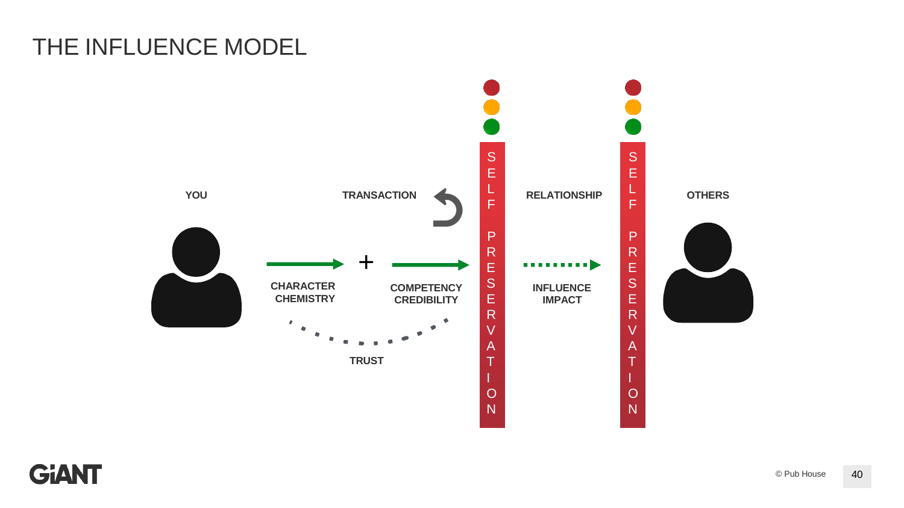## THE INFLUENCE MODEL



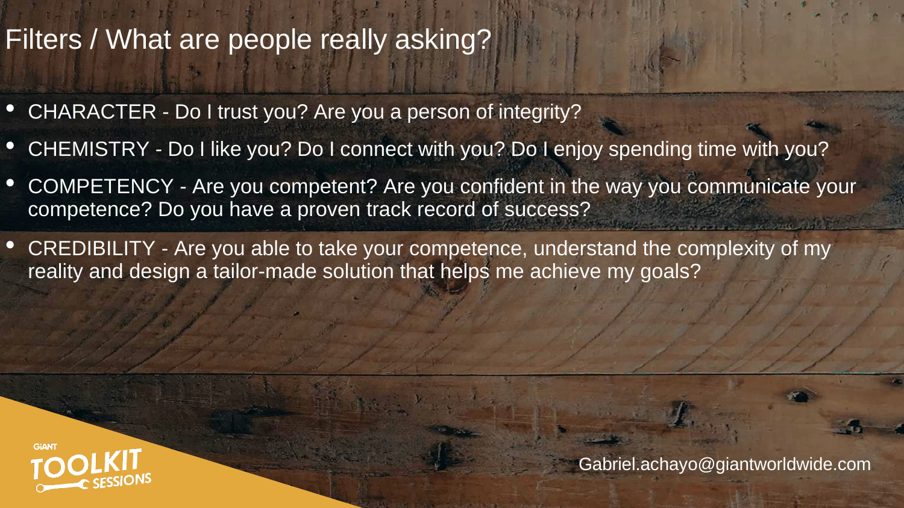# Filters / What are people really asking?

- CHARACTER Do I trust you? Are you a person of integrity?
- CHEMISTRY Do I like you? Do I connect with you? Do I enjoy spending time with you?
- COMPETENCY Are you competent? Are you confident in the way you communicate your competence? Do you have a proven track record of success?
- CREDIBILITY Are you able to take your competence, understand the complexity of my reality and design a tailor-made solution that helps me achieve my goals?



[Gabriel.achayo@giantworldwide.com](mailto:Gabriel.achayo@giantworldwide.com)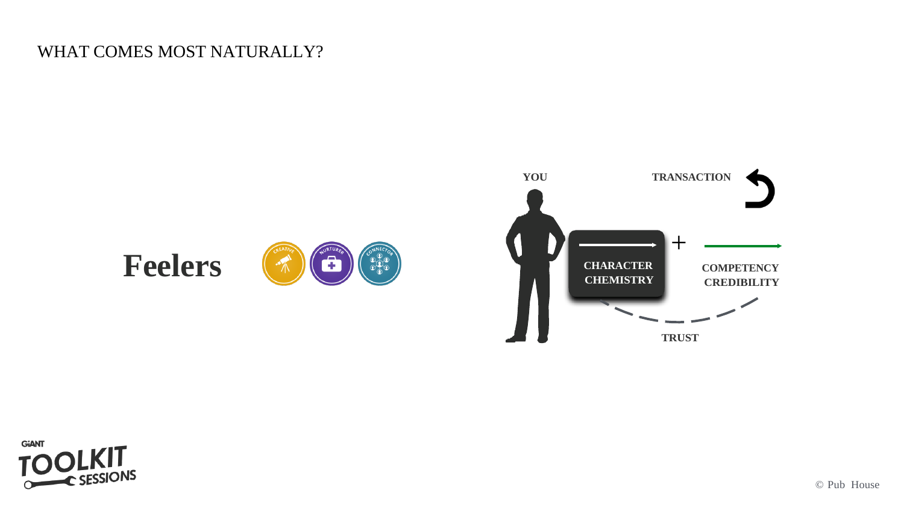### WHAT COMES MOST NATURALLY?



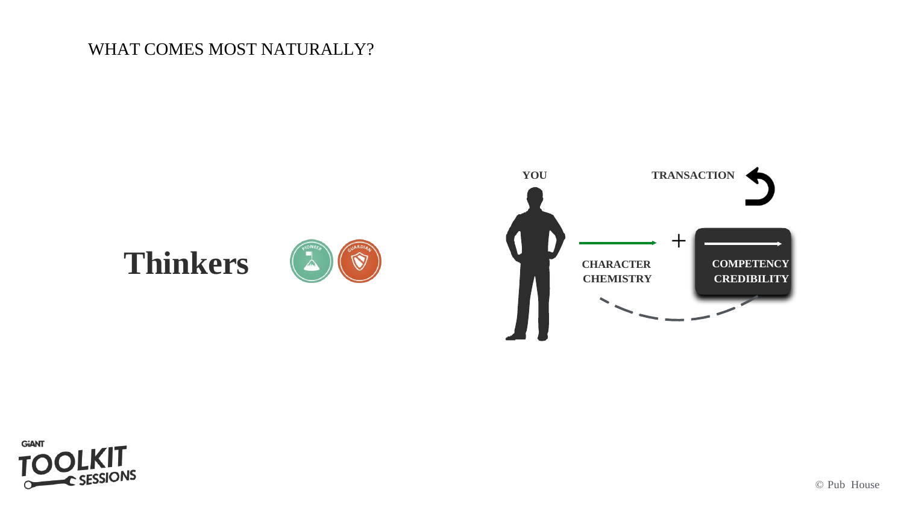#### WHAT COMES MOST NATURALLY?